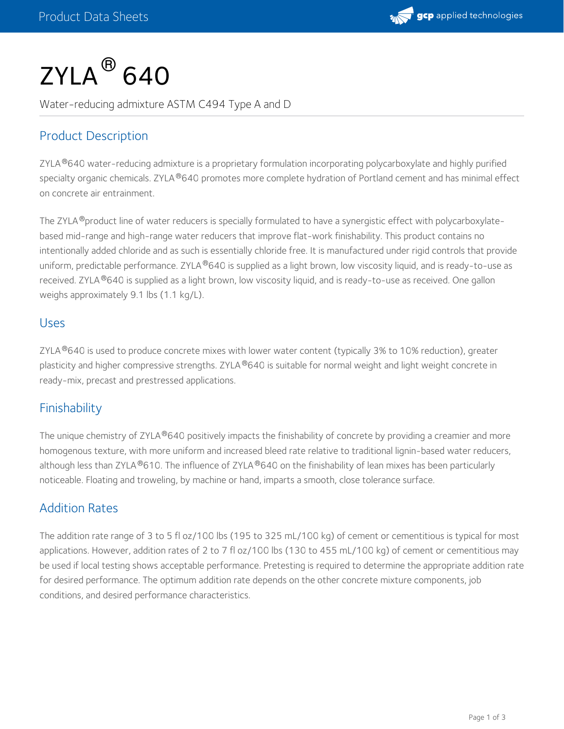

# $\mathsf{ZYLA}^{\circledR}\,$ 640

Water-reducing admixture ASTM C494 Type A and D

## Product Description

ZYLA®640 water-reducing admixture is a proprietary formulation incorporating polycarboxylate and highly purified specialty organic chemicals. ZYLA®640 promotes more complete hydration of Portland cement and has minimal effect on concrete air entrainment.

The ZYLA ®product line of water reducers is specially formulated to have a synergistic effect with polycarboxylatebased mid-range and high-range water reducers that improve flat-work finishability. This product contains no intentionally added chloride and as such is essentially chloride free. It is manufactured under rigid controls that provide uniform, predictable performance. ZYLA®640 is supplied as a light brown, low viscosity liquid, and is ready-to-use as received. ZYLA®640 is supplied as a light brown, low viscosity liquid, and is ready-to-use as received. One gallon weighs approximately 9.1 lbs (1.1 kg/L).

#### Uses

ZYLA ®640 is used to produce concrete mixes with lower water content (typically 3% to 10% reduction), greater plasticity and higher compressive strengths. ZYLA®640 is suitable for normal weight and light weight concrete in ready-mix, precast and prestressed applications.

## Finishability

The unique chemistry of ZYLA®640 positively impacts the finishability of concrete by providing a creamier and more homogenous texture, with more uniform and increased bleed rate relative to traditional lignin-based water reducers, although less than ZYLA®610. The influence of ZYLA®640 on the finishability of lean mixes has been particularly noticeable. Floating and troweling, by machine or hand, imparts a smooth, close tolerance surface.

### Addition Rates

The addition rate range of 3 to 5 fl oz/100 lbs (195 to 325 mL/100 kg) of cement or cementitious is typical for most applications. However, addition rates of 2 to 7 fl oz/100 lbs (130 to 455 mL/100 kg) of cement or cementitious may be used if local testing shows acceptable performance. Pretesting is required to determine the appropriate addition rate for desired performance. The optimum addition rate depends on the other concrete mixture components, job conditions, and desired performance characteristics.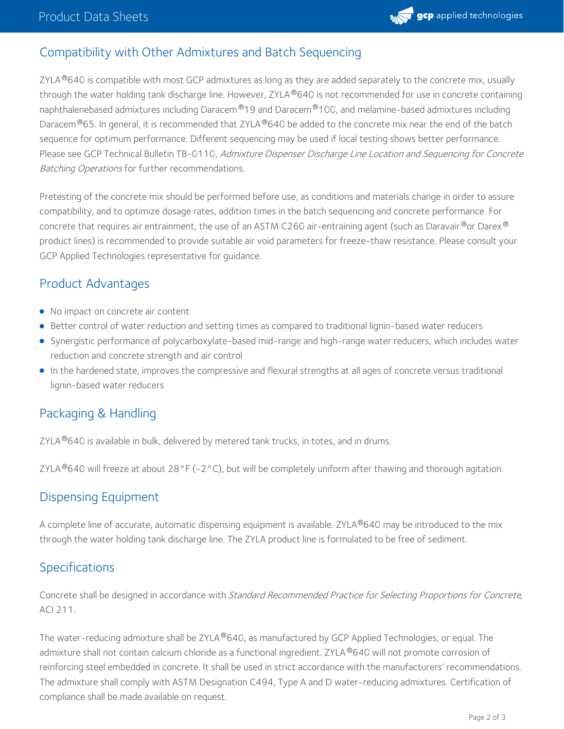

## Compatibility with Other Admixtures and Batch Sequencing

ZYLA $^{\circledR}$ 640 is compatible with most GCP admixtures as long as they are added separately to the concrete mix, usually through the water holding tank discharge line. However, ZYLA®640 is not recommended for use in concrete containing naphthalenebased admixtures including Daracem®19 and Daracem®100, and melamine-based admixtures including Daracem $^\circledR$ 65. In general, it is recommended that ZYLA $^\circledR$ 640 be added to the concrete mix near the end of the batch sequence for optimum performance. Different sequencing may be used if local testing shows better performance. Please see GCP Technical Bulletin TB-0110, Admixture Dispenser Discharge Line Location and Sequencing for Concrete Batching Operations for further recommendations.

Pretesting of the concrete mix should be performed before use, as conditions and materials change in order to assure compatibility, and to optimize dosage rates, addition times in the batch sequencing and concrete performance. For concrete that requires air entrainment, the use of an ASTM C260 air-entraining agent (such as Daravair $^{\circledR}$ or Darex $^{\circledR}$ product lines) is recommended to provide suitable air void parameters for freeze-thaw resistance. Please consult your GCP Applied Technologies representative for guidance.

### Product Advantages

- No impact on concrete air content
- **Better control of water reduction and setting times as compared to traditional lignin-based water reducers**
- Synergistic performance of polycarboxylate-based mid-range and high-range water reducers, which includes water reduction and concrete strength and air control
- In the hardened state, improves the compressive and flexural strengths at all ages of concrete versus traditional lignin-based water reducers

## Packaging & Handling

ZYLA $^\circledR$ 640 is available in bulk, delivered by metered tank trucks, in totes, and in drums.

ZYLA  $^{\circ}$ 640 will freeze at about 28°F (-2°C), but will be completely uniform after thawing and thorough agitation.

### Dispensing Equipment

A complete line of accurate, automatic dispensing equipment is available. ZYLA®640 may be introduced to the mix through the water holding tank discharge line. The ZYLA product line is formulated to be free of sediment.

### Specifications

Concrete shall be designed in accordance with Standard Recommended Practice for Selecting Proportions for Concrete, ACI 211.

The water-reducing admixture shall be ZYLA®640, as manufactured by GCP Applied Technologies, or equal. The admixture shall not contain calcium chloride as a functional ingredient. ZYLA  $^{\circledR}$ 640 will not promote corrosion of reinforcing steel embedded in concrete. It shall be used in strict accordance with the manufacturers' recommendations. The admixture shall comply with ASTM Designation C494, Type A and D water-reducing admixtures. Certification of compliance shall be made available on request.